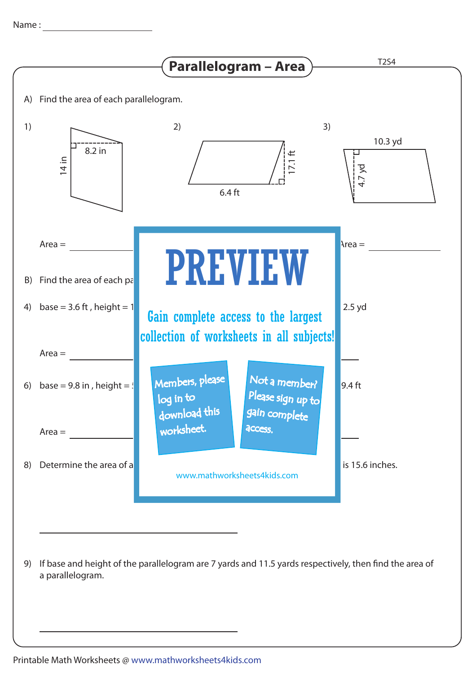

9) If base and height of the parallelogram are 7 yards and 11.5 yards respectively, then find the area of a parallelogram.